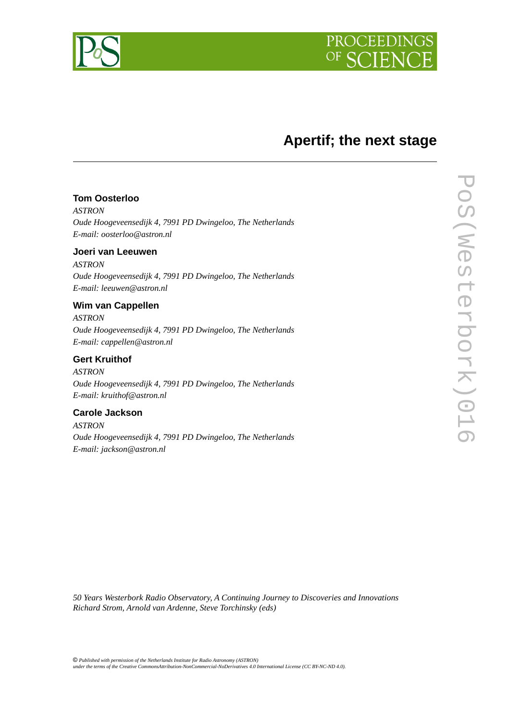



# **Apertif; the next stage**

# **Tom Oosterloo**

*ASTRON Oude Hoogeveensedijk 4, 7991 PD Dwingeloo, The Netherlands E-mail: oosterloo@astron.nl*

### **Joeri van Leeuwen**

*ASTRON Oude Hoogeveensedijk 4, 7991 PD Dwingeloo, The Netherlands E-mail: leeuwen@astron.nl*

### **Wim van Cappellen**

*ASTRON Oude Hoogeveensedijk 4, 7991 PD Dwingeloo, The Netherlands E-mail: cappellen@astron.nl*

### **Gert Kruithof**

*ASTRON Oude Hoogeveensedijk 4, 7991 PD Dwingeloo, The Netherlands E-mail: kruithof@astron.nl*

### **Carole Jackson**

*ASTRON Oude Hoogeveensedijk 4, 7991 PD Dwingeloo, The Netherlands E-mail: jackson@astron.nl*

*50 Years Westerbork Radio Observatory, A Continuing Journey to Discoveries and Innovations Richard Strom, Arnold van Ardenne, Steve Torchinsky (eds)*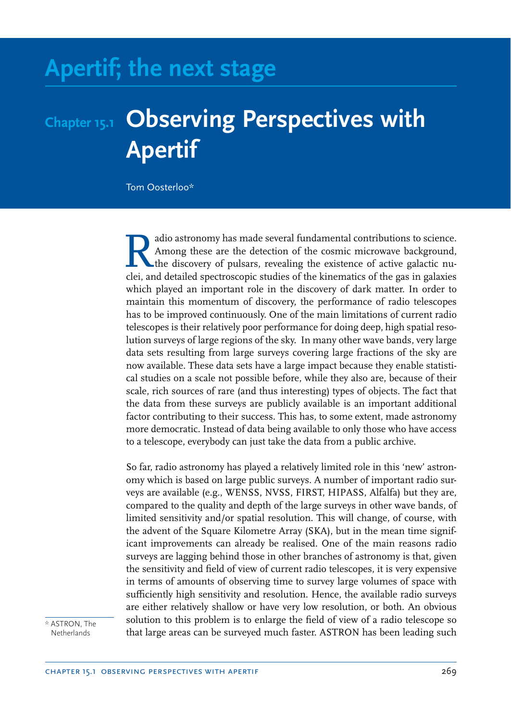# **Apertif; the next stage**

# **Chapter 15.1 Observing Perspectives with Apertif**

Tom Oosterloo\*

Relation as made several fundamental contributions to science.<br>Among these are the detection of the cosmic microwave background,<br>the discovery of pulsars, revealing the existence of active galactic nu-<br>clei, and detailed s adio astronomy has made several fundamental contributions to science. Among these are the detection of the cosmic microwave background, the discovery of pulsars, revealing the existence of active galactic nuwhich played an important role in the discovery of dark matter. In order to maintain this momentum of discovery, the performance of radio telescopes has to be improved continuously. One of the main limitations of current radio telescopes is their relatively poor performance for doing deep, high spatial resolution surveys of large regions of the sky. In many other wave bands, very large data sets resulting from large surveys covering large fractions of the sky are now available. These data sets have a large impact because they enable statistical studies on a scale not possible before, while they also are, because of their scale, rich sources of rare (and thus interesting) types of objects. The fact that the data from these surveys are publicly available is an important additional factor contributing to their success. This has, to some extent, made astronomy more democratic. Instead of data being available to only those who have access to a telescope, everybody can just take the data from a public archive.

So far, radio astronomy has played a relatively limited role in this 'new' astronomy which is based on large public surveys. A number of important radio surveys are available (e.g., WENSS, NVSS, FIRST, HIPASS, Alfalfa) but they are, compared to the quality and depth of the large surveys in other wave bands, of limited sensitivity and/or spatial resolution. This will change, of course, with the advent of the Square Kilometre Array (SKA), but in the mean time significant improvements can already be realised. One of the main reasons radio surveys are lagging behind those in other branches of astronomy is that, given the sensitivity and field of view of current radio telescopes, it is very expensive in terms of amounts of observing time to survey large volumes of space with sufficiently high sensitivity and resolution. Hence, the available radio surveys are either relatively shallow or have very low resolution, or both. An obvious solution to this problem is to enlarge the field of view of a radio telescope so that large areas can be surveyed much faster. ASTRON has been leading such

\* ASTRON, The **Netherlands**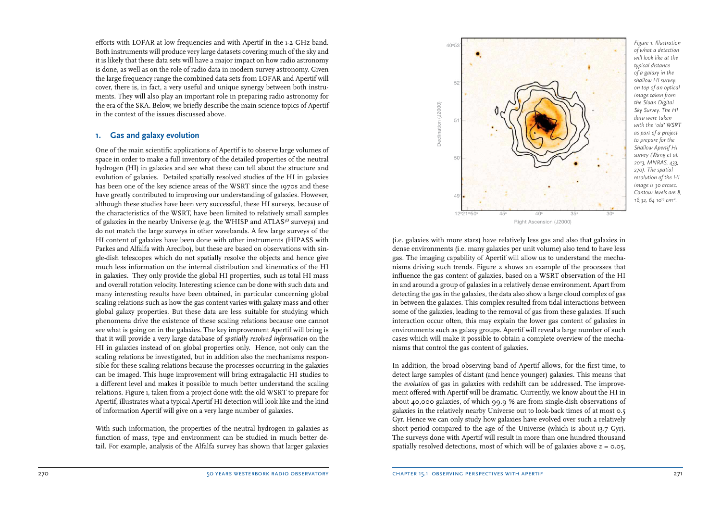efforts with LOFAR at low frequencies and with Apertif in the 1-2 GHz band. Both instruments will produce very large datasets covering much of the sky and it is likely that these data sets will have a major impact on how radio astronomy is done, as well as on the role of radio data in modern survey astronomy. Given the large frequency range the combined data sets from LOFAR and Apertif will cover, there is, in fact, a very useful and unique synergy between both instruments. They will also play an important role in preparing radio astronomy for the era of the SKA. Below, we briefly describe the main science topics of Apertif in the context of the issues discussed above.

# **1. Gas and galaxy evolution**

One of the main scientific applications of Apertif is to observe large volumes of space in order to make a full inventory of the detailed properties of the neutral hydrogen (HI) in galaxies and see what these can tell about the structure and evolution of galaxies. Detailed spatially resolved studies of the HI in galaxies has been one of the key science areas of the WSRT since the 1970s and these have greatly contributed to improving our understanding of galaxies. However, although these studies have been very successful, these HI surveys, because of the characteristics of the WSRT, have been limited to relatively small samples of galaxies in the nearby Universe (e.g. the WHISP and ATLAS<sup>3D</sup> surveys) and do not match the large surveys in other wavebands. A few large surveys of the HI content of galaxies have been done with other instruments (HIPASS with Parkes and Alfalfa with Arecibo), but these are based on observations with single-dish telescopes which do not spatially resolve the objects and hence give much less information on the internal distribution and kinematics of the HI in galaxies. They only provide the global HI properties, such as total HI mass and overall rotation velocity. Interesting science can be done with such data and many interesting results have been obtained, in particular concerning global scaling relations such as how the gas content varies with galaxy mass and other global galaxy properties. But these data are less suitable for studying which phenomena drive the existence of these scaling relations because one cannot see what is going on in the galaxies. The key improvement Apertif will bring is that it will provide a very large database of *spatially resolved information* on the HI in galaxies instead of on global properties only. Hence, not only can the scaling relations be investigated, but in addition also the mechanisms responsible for these scaling relations because the processes occurring in the galaxies can be imaged. This huge improvement will bring extragalactic HI studies to a different level and makes it possible to much better understand the scaling relations. Figure 1, taken from a project done with the old WSRT to prepare for Apertif, illustrates what a typical Apertif HI detection will look like and the kind of information Apertif will give on a very large number of galaxies.

With such information, the properties of the neutral hydrogen in galaxies as function of mass, type and environment can be studied in much better detail. For example, analysis of the Alfalfa survey has shown that larger galaxies



*Figure 1. Illustration of what a detection will look like at the typical distance of a galaxy in the shallow HI survey. on top of an optical image taken from the Sloan Digital Sky Survey. The HI data were taken with the 'old' WSRT as part of a project to prepare for the Shallow Apertif HI survey (Wang et al. 2013, MNRAS, 433, 270). The spatial resolution of the HI image is 30 arcsec. Contour levels are 8, 16,32, 64 10<sup>19</sup> cm-2 .*

(i.e. galaxies with more stars) have relatively less gas and also that galaxies in dense environments (i.e. many galaxies per unit volume) also tend to have less gas. The imaging capability of Apertif will allow us to understand the mechanisms driving such trends. Figure 2 shows an example of the processes that influence the gas content of galaxies, based on a WSRT observation of the HI in and around a group of galaxies in a relatively dense environment. Apart from detecting the gas in the galaxies, the data also show a large cloud complex of gas in between the galaxies. This complex resulted from tidal interactions between some of the galaxies, leading to the removal of gas from these galaxies. If such interaction occur often, this may explain the lower gas content of galaxies in environments such as galaxy groups. Apertif will reveal a large number of such cases which will make it possible to obtain a complete overview of the mechanisms that control the gas content of galaxies.

In addition, the broad observing band of Apertif allows, for the first time, to detect large samples of distant (and hence younger) galaxies. This means that the *evolution* of gas in galaxies with redshift can be addressed. The improvement offered with Apertif will be dramatic. Currently, we know about the HI in about 40,000 galaxies, of which 99.9 % are from single-dish observations of galaxies in the relatively nearby Universe out to look-back times of at most 0.5 Gyr. Hence we can only study how galaxies have evolved over such a relatively short period compared to the age of the Universe (which is about 13.7 Gyr). The surveys done with Apertif will result in more than one hundred thousand spatially resolved detections, most of which will be of galaxies above  $z = 0.05$ ,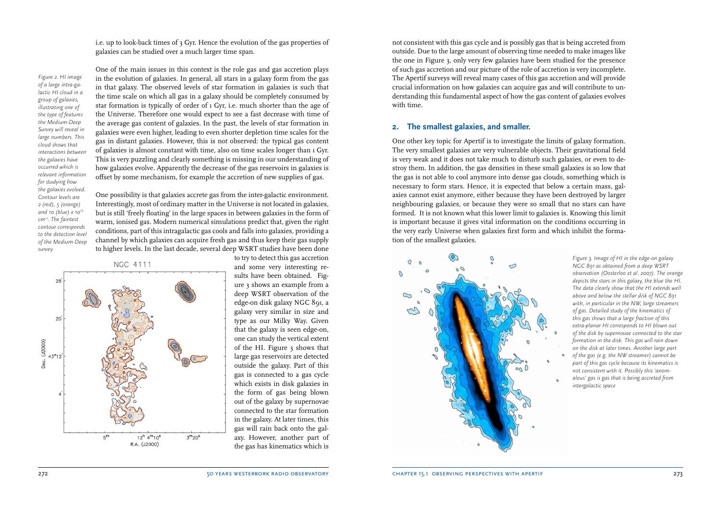i.e. up to look-back times of 3 Gyr. Hence the evolution of the gas properties of galaxies can be studied over a much larger time span.

*Figure 2. HI image of a large intra-galactic HI cloud in a group of galaxies, illustrating one of the type of features the Medium-Deep Survey will reveal in large numbers. This cloud shows that interactions between the galaxies have occurred which is relevant information for studying how the galaxies evolved. Contour levels are 2 (red), 5 (orange) and 10 (blue) x 10<sup>19</sup> cm-2. The faintest contour corresponds to the detection level of the Medium-Deep survey.*

One of the main issues in this context is the role gas and gas accretion plays in the evolution of galaxies. In general, all stars in a galaxy form from the gas in that galaxy. The observed levels of star formation in galaxies is such that the time scale on which all gas in a galaxy should be completely consumed by star formation is typically of order of 1 Gyr, i.e. much shorter than the age of the Universe. Therefore one would expect to see a fast decrease with time of the average gas content of galaxies. In the past, the levels of star formation in galaxies were even higher, leading to even shorter depletion time scales for the gas in distant galaxies. However, this is not observed: the typical gas content of galaxies is almost constant with time, also on time scales longer than 1 Gyr. This is very puzzling and clearly something is missing in our understanding of how galaxies evolve. Apparently the decrease of the gas reservoirs in galaxies is offset by some mechanism, for example the accretion of new supplies of gas.

One possibility is that galaxies accrete gas from the inter-galactic environment. Interestingly, most of ordinary matter in the Universe is not located in galaxies, but is still 'freely floating' in the large spaces in between galaxies in the form of warm, ionised gas. Modern numerical simulations predict that, given the right conditions, part of this intragalactic gas cools and falls into galaxies, providing a channel by which galaxies can acquire fresh gas and thus keep their gas supply to higher levels. In the last decade, several deep WSRT studies have been done



to try to detect this gas accretion and some very interesting results have been obtained. Figure 3 shows an example from a deep WSRT observation of the edge-on disk galaxy NGC 891, a galaxy very similar in size and type as our Milky Way. Given that the galaxy is seen edge-on, one can study the vertical extent of the HI. Figure 3 shows that large gas reservoirs are detected outside the galaxy. Part of this gas is connected to a gas cycle which exists in disk galaxies in the form of gas being blown out of the galaxy by supernovae connected to the star formation in the galaxy. At later times, this gas will rain back onto the galaxy. However, another part of the gas has kinematics which is not consistent with this gas cycle and is possibly gas that is being accreted from outside. Due to the large amount of observing time needed to make images like the one in Figure 3, only very few galaxies have been studied for the presence of such gas accretion and our picture of the role of accretion is very incomplete. The Apertif surveys will reveal many cases of this gas accretion and will provide crucial information on how galaxies can acquire gas and will contribute to understanding this fundamental aspect of how the gas content of galaxies evolves with time.

### **2. The smallest galaxies, and smaller.**

One other key topic for Apertif is to investigate the limits of galaxy formation. The very smallest galaxies are very vulnerable objects. Their gravitational field is very weak and it does not take much to disturb such galaxies, or even to destroy them. In addition, the gas densities in these small galaxies is so low that the gas is not able to cool anymore into dense gas clouds, something which is necessary to form stars. Hence, it is expected that below a certain mass, galaxies cannot exist anymore, either because they have been destroyed by larger neighbouring galaxies, or because they were so small that no stars can have formed. It is not known what this lower limit to galaxies is. Knowing this limit is important because it gives vital information on the conditions occurring in the very early Universe when galaxies first form and which inhibit the formation of the smallest galaxies.



*Figure 3. Image of HI in the edge-on galaxy NGC 891 as obtained from a deep WSRT observation (Oosterloo et al. 2007). The orange depicts the stars in this galaxy, the blue the HI. The data clearly show that the HI extends well above and below the stellar disk of NGC 891 with, in particular in the NW, large streamers of gas. Detailed study of the kinematics of this gas shows that a large fraction of this extra-planar HI corresponds to HI blown out of the disk by supernovae connected to the star formation in the disk. This gas will rain down on the disk at later times. Another large part of the gas (e.g. the NW streamer) cannot be part of this gas cycle because its kinematics is not consistent with it. Possibly this 'anomalous' gas is gas that is being accreted from intergalactic space*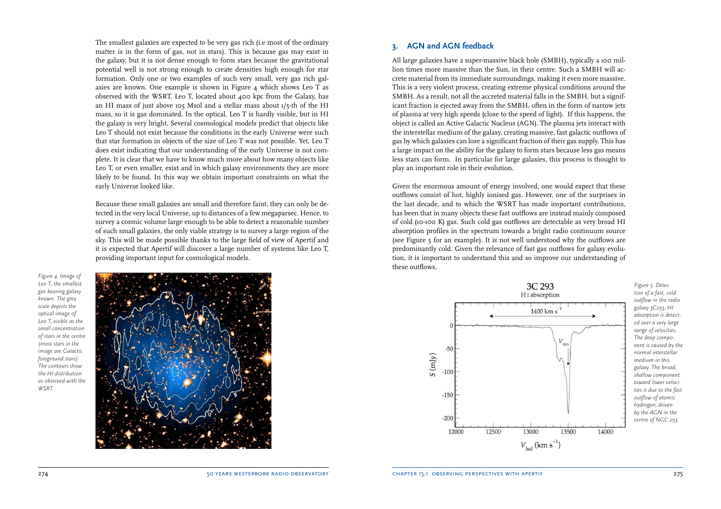The smallest galaxies are expected to be very gas rich (i.e most of the ordinary matter is in the form of gas, not in stars). This is because gas may exist in the galaxy, but it is not dense enough to form stars because the gravitational potential well is not strong enough to create densities high enough for star formation. Only one or two examples of such very small, very gas rich galaxies are known. One example is shown in Figure 4 which shows Leo T as observed with the WSRT. Leo T, located about 400 kpc from the Galaxy, has an HI mass of just above 105 Msol and a stellar mass about 1/5-th of the HI mass, so it is gas dominated. In the optical, Leo T is hardly visible, but in HI the galaxy is very bright. Several cosmological models predict that objects like Leo T should not exist because the conditions in the early Universe were such that star formation in objects of the size of Leo T was not possible. Yet, Leo T does exist indicating that our understanding of the early Universe is not complete. It is clear that we have to know much more about how many objects like Leo T, or even smaller, exist and in which galaxy environments they are more likely to be found. In this way we obtain important constraints on what the early Universe looked like.

Because these small galaxies are small and therefore faint, they can only be detected in the very local Universe, up to distances of a few megaparsec. Hence, to survey a cosmic volume large enough to be able to detect a reasonable number of such small galaxies, the only viable strategy is to survey a large region of the sky. This will be made possible thanks to the large field of view of Apertif and it is expected that Apertif will discover a large number of systems like Leo T, providing important input for cosmological models.

*Figure 4. Image of Leo T, the smallest gas bearing galaxy known. The grey scale depicts the optical image of Leo T, visible as the small concentration of stars in the centre (most stars in the image are Galactic foreground stars). The contours show the HI distribution as observed with the WSRT.*



### **3. AGN and AGN feedback**

All large galaxies have a super-massive black hole (SMBH), typically a 100 million times more massive than the Sun, in their centre. Such a SMBH will accrete material from its immediate surroundings, making it even more massive. This is a very violent process, creating extreme physical conditions around the SMBH. As a result, not all the accreted material falls in the SMBH, but a significant fraction is ejected away from the SMBH, often in the form of narrow jets of plasma at very high speeds (close to the speed of light). If this happens, the object is called an Active Galactic Nucleus (AGN). The plasma jets interact with the interstellar medium of the galaxy, creating massive, fast galactic outflows of gas by which galaxies can lose a significant fraction of their gas supply. This has a large impact on the ability for the galaxy to form stars because less gas means less stars can form. In particular for large galaxies, this process is thought to play an important role in their evolution.

Given the enormous amount of energy involved, one would expect that these outflows consist of hot, highly ionised gas. However, one of the surprises in the last decade, and to which the WSRT has made important contributions, has been that in many objects these fast outflows are instead mainly composed of cold (10-100 K) gas. Such cold gas outflows are detectable as very broad HI absorption profiles in the spectrum towards a bright radio continuum source (see Figure 5 for an example). It is not well understood why the outflows are predominantly cold. Given the relevance of fast gas outflows for galaxy evolution, it is important to understand this and so improve our understanding of these outflows.



*tion of a fast, cold outflow in the radio galaxy 3C293. HI absorption is detected over a very large range of velocities. The deep component is caused by the normal interstellar medium in this galaxy. The broad, shallow component toward lower velocities is due to the fast outflow of atomic hydrogen, driven by the AGN in the centre of NGC 293.*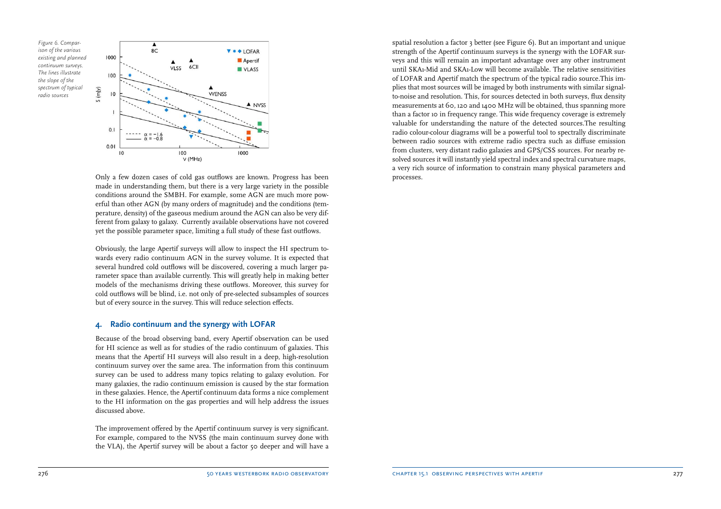*Figure 6. Comparison of the various existing and planned continuum surveys. The lines illustrate the slope of the spectrum of typical radio sources*



Only a few dozen cases of cold gas outflows are known. Progress has been made in understanding them, but there is a very large variety in the possible conditions around the SMBH. For example, some AGN are much more powerful than other AGN (by many orders of magnitude) and the conditions (temperature, density) of the gaseous medium around the AGN can also be very different from galaxy to galaxy. Currently available observations have not covered yet the possible parameter space, limiting a full study of these fast outflows.

Obviously, the large Apertif surveys will allow to inspect the HI spectrum towards every radio continuum AGN in the survey volume. It is expected that several hundred cold outflows will be discovered, covering a much larger parameter space than available currently. This will greatly help in making better models of the mechanisms driving these outflows. Moreover, this survey for cold outflows will be blind, i.e. not only of pre-selected subsamples of sources but of every source in the survey. This will reduce selection effects.

#### **4. Radio continuum and the synergy with LOFAR**

Because of the broad observing band, every Apertif observation can be used for HI science as well as for studies of the radio continuum of galaxies. This means that the Apertif HI surveys will also result in a deep, high-resolution continuum survey over the same area. The information from this continuum survey can be used to address many topics relating to galaxy evolution. For many galaxies, the radio continuum emission is caused by the star formation in these galaxies. Hence, the Apertif continuum data forms a nice complement to the HI information on the gas properties and will help address the issues discussed above.

The improvement offered by the Apertif continuum survey is very significant. For example, compared to the NVSS (the main continuum survey done with the VLA), the Apertif survey will be about a factor 50 deeper and will have a spatial resolution a factor 3 better (see Figure 6). But an important and unique strength of the Apertif continuum surveys is the synergy with the LOFAR surveys and this will remain an important advantage over any other instrument until SKA1-Mid and SKA1-Low will become available. The relative sensitivities of LOFAR and Apertif match the spectrum of the typical radio source.This implies that most sources will be imaged by both instruments with similar signalto-noise and resolution. This, for sources detected in both surveys, flux density measurements at 60, 120 and 1400 MHz will be obtained, thus spanning more than a factor 10 in frequency range. This wide frequency coverage is extremely valuable for understanding the nature of the detected sources.The resulting radio colour-colour diagrams will be a powerful tool to spectrally discriminate between radio sources with extreme radio spectra such as diffuse emission from clusters, very distant radio galaxies and GPS/CSS sources. For nearby resolved sources it will instantly yield spectral index and spectral curvature maps, a very rich source of information to constrain many physical parameters and processes.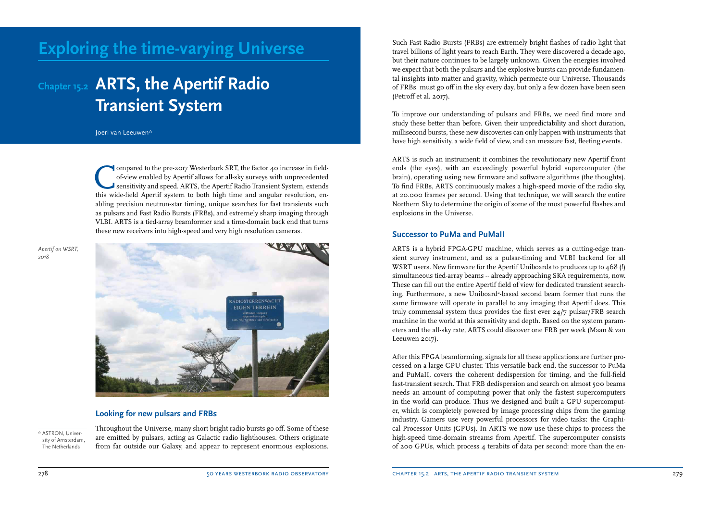# **Exploring the time-varying Universe**

# **Chapter 15.2 ARTS, the Apertif Radio Transient System**

Joeri van Leeuwen\*

Compared to the pre-2017 Westerbork SRT, the factor 40 increase in field-of-view enabled by Apertif allows for all-sky surveys with unprecedented sensitivity and speed. ARTS, the Apertif Radio Transient System, extends thi ompared to the pre-2017 Westerbork SRT, the factor 40 increase in fieldof-view enabled by Apertif allows for all-sky surveys with unprecedented sensitivity and speed. ARTS, the Apertif Radio Transient System, extends abling precision neutron-star timing, unique searches for fast transients such as pulsars and Fast Radio Bursts (FRBs), and extremely sharp imaging through VLBI. ARTS is a tied-array beamformer and a time-domain back end that turns these new receivers into high-speed and very high resolution cameras.

*Apertif on WSRT, 2018*



#### **Looking for new pulsars and FRBs**

\* ASTRON, University of Amsterdam, The Netherlands

Throughout the Universe, many short bright radio bursts go off. Some of these are emitted by pulsars, acting as Galactic radio lighthouses. Others originate from far outside our Galaxy, and appear to represent enormous explosions. Such Fast Radio Bursts (FRBs) are extremely bright flashes of radio light that travel billions of light years to reach Earth. They were discovered a decade ago, but their nature continues to be largely unknown. Given the energies involved we expect that both the pulsars and the explosive bursts can provide fundamental insights into matter and gravity, which permeate our Universe. Thousands of FRBs must go off in the sky every day, but only a few dozen have been seen (Petroff et al. 2017).

To improve our understanding of pulsars and FRBs, we need find more and study these better than before. Given their unpredictability and short duration, millisecond bursts, these new discoveries can only happen with instruments that have high sensitivity, a wide field of view, and can measure fast, fleeting events.

ARTS is such an instrument: it combines the revolutionary new Apertif front ends (the eyes), with an exceedingly powerful hybrid supercomputer (the brain), operating using new firmware and software algorithms (the thoughts). To find FRBs, ARTS continuously makes a high-speed movie of the radio sky, at 20.000 frames per second. Using that technique, we will search the entire Northern Sky to determine the origin of some of the most powerful flashes and explosions in the Universe.

#### **Successor to PuMa and PuMaII**

ARTS is a hybrid FPGA-GPU machine, which serves as a cutting-edge transient survey instrument, and as a pulsar-timing and VLBI backend for all WSRT users. New firmware for the Apertif Uniboards to produces up to 468 (!) simultaneous tied-array beams -- already approaching SKA requirements, now. These can fill out the entire Apertif field of view for dedicated transient searching. Furthermore, a new Uniboard<sup>2</sup>-based second beam former that runs the same firmware will operate in parallel to any imaging that Apertif does. This truly commensal system thus provides the first ever 24/7 pulsar/FRB search machine in the world at this sensitivity and depth. Based on the system parameters and the all-sky rate, ARTS could discover one FRB per week (Maan & van Leeuwen 2017).

After this FPGA beamforming, signals for all these applications are further processed on a large GPU cluster. This versatile back end, the successor to PuMa and PuMaII, covers the coherent dedispersion for timing, and the full-field fast-transient search. That FRB dedispersion and search on almost 500 beams needs an amount of computing power that only the fastest supercomputers in the world can produce. Thus we designed and built a GPU supercomputer, which is completely powered by image processing chips from the gaming industry. Gamers use very powerful processors for video tasks: the Graphical Processor Units (GPUs). In ARTS we now use these chips to process the high-speed time-domain streams from Apertif. The supercomputer consists of 200 GPUs, which process 4 terabits of data per second: more than the en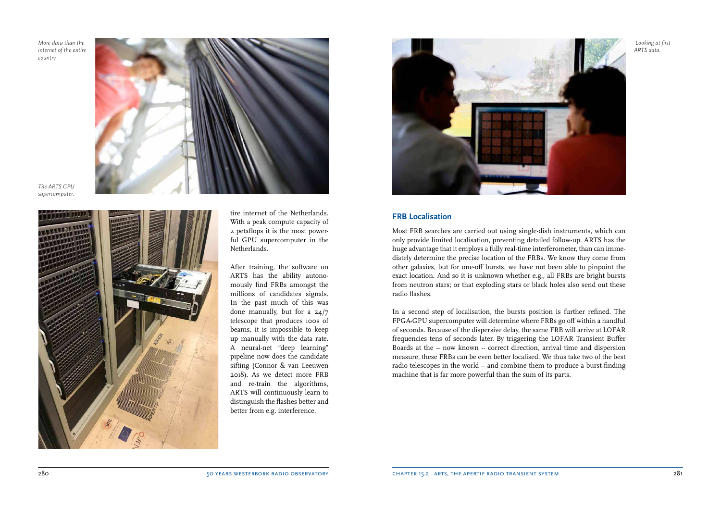*More data than the internet of the entire country.*



*The ARTS GPU supercomputer.*



tire internet of the Netherlands. With a peak compute capacity of 2 petaflops it is the most powerful GPU supercomputer in the Netherlands.

After training, the software on ARTS has the ability autonomously find FRBs amongst the millions of candidates signals. In the past much of this was done manually, but for a 24/7 telescope that produces 100s of beams, it is impossible to keep up manually with the data rate. A neural-net "deep learning" pipeline now does the candidate sifting (Connor & van Leeuwen 2018). As we detect more FRB and re-train the algorithms, ARTS will continuously learn to distinguish the flashes better and better from e.g. interference.



### **FRB Localisation**

Most FRB searches are carried out using single-dish instruments, which can only provide limited localisation, preventing detailed follow-up. ARTS has the huge advantage that it employs a fully real-time interferometer, than can immediately determine the precise location of the FRBs. We know they come from other galaxies, but for one-off bursts, we have not been able to pinpoint the exact location. And so it is unknown whether e.g., all FRBs are bright bursts from neutron stars; or that exploding stars or black holes also send out these radio flashes.

In a second step of localisation, the bursts position is further refined. The FPGA-GPU supercomputer will determine where FRBs go off within a handful of seconds. Because of the dispersive delay, the same FRB will arrive at LOFAR frequencies tens of seconds later. By triggering the LOFAR Transient Buffer Boards at the -- now known -- correct direction, arrival time and dispersion measure, these FRBs can be even better localised. We thus take two of the best radio telescopes in the world -- and combine them to produce a burst-finding machine that is far more powerful than the sum of its parts.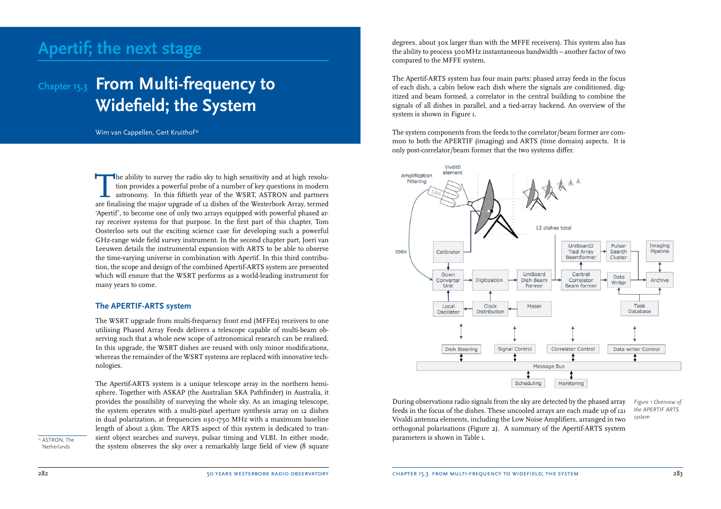# **Apertif; the next stage**

# **Chapter 15.3 From Multi-frequency to Widefield; the System**

Wim van Cappellen, Gert Kruithof\*

The ability to survey the radio sky to high sensitivity and at high resolution provides a powerful probe of a number of key questions in modern astronomy. In this fiftieth year of the WSRT, ASTRON and partners are finalisi he ability to survey the radio sky to high sensitivity and at high resolution provides a powerful probe of a number of key questions in modern astronomy. In this fiftieth year of the WSRT, ASTRON and partners 'Apertif', to become one of only two arrays equipped with powerful phased array receiver systems for that purpose. In the first part of this chapter, Tom Oosterloo sets out the exciting science case for developing such a powerful GHz-range wide field survey instrument. In the second chapter part, Joeri van Leeuwen details the instrumental expansion with ARTS to be able to observe the time-varying universe in combination with Apertif. In this third contribution, the scope and design of the combined Apertif-ARTS system are presented which will ensure that the WSRT performs as a world-leading instrument for many years to come.

#### **The APERTIF-ARTS system**

The WSRT upgrade from multi-frequency front end (MFFEs) receivers to one utilising Phased Array Feeds delivers a telescope capable of multi-beam observing such that a whole new scope of astronomical research can be realised. In this upgrade, the WSRT dishes are reused with only minor modifications, whereas the remainder of the WSRT systems are replaced with innovative technologies.

The Apertif-ARTS system is a unique telescope array in the northern hemisphere. Together with ASKAP (the Australian SKA Pathfinder) in Australia, it provides the possibility of surveying the whole sky. As an imaging telescope, the system operates with a multi-pixel aperture synthesis array on 12 dishes in dual polarization, at frequencies 1130-1750 MHz with a maximum baseline length of about 2.5km. The ARTS aspect of this system is dedicated to transient object searches and surveys, pulsar timing and VLBI. In either mode, the system observes the sky over a remarkably large field of view (8 square

\* ASTRON, The Netherlands

degrees, about 30x larger than with the MFFE receivers). This system also has the ability to process 300MHz instantaneous bandwidth – another factor of two compared to the MFFE system.

The Apertif-ARTS system has four main parts: phased array feeds in the focus of each dish, a cabin below each dish where the signals are conditioned, digitized and beam formed, a correlator in the central building to combine the signals of all dishes in parallel, and a tied-array backend. An overview of the system is shown in Figure 1.

The system components from the feeds to the correlator/beam former are common to both the APERTIF (imaging) and ARTS (time domain) aspects. It is only post-correlator/beam former that the two systems differ.



During observations radio signals from the sky are detected by the phased array feeds in the focus of the dishes. These uncooled arrays are each made up of 121 Vivaldi antenna elements, including the Low Noise Amplifiers, arranged in two orthogonal polarisations (Figure 2). A summary of the Apertif-ARTS system parameters is shown in Table 1.

*Figure 1 Overview of the APERTIF ARTS system*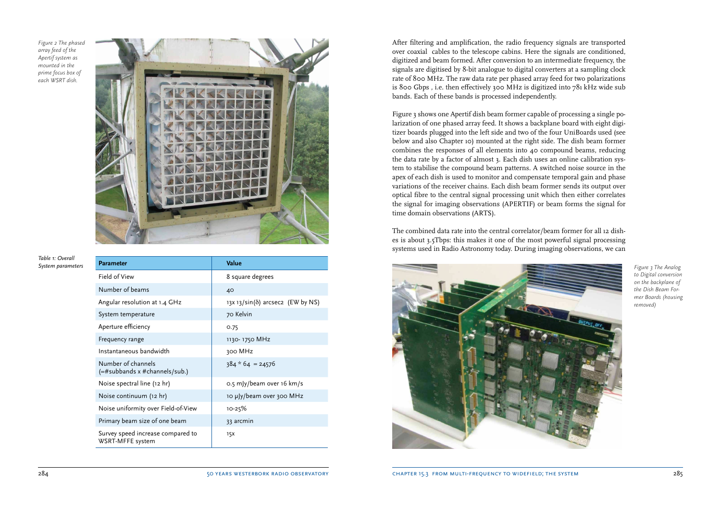*Figure 2 The phased array feed of the Apertif system as mounted in the prime focus box of each WSRT dish.* 



*Table 1: Overall* 

| Value                                     |
|-------------------------------------------|
| 8 square degrees                          |
| 40                                        |
| 13x 13/sin( $\delta$ ) arcsec2 (EW by NS) |
| 70 Kelvin                                 |
| 0.75                                      |
| 1130-1750 MHz                             |
| 300 MHz                                   |
| $384 * 64 = 24576$                        |
| 0.5 mJy/beam over 16 km/s                 |
| 10 µJy/beam over 300 MHz                  |
| $10 - 25%$                                |
| 33 arcmin                                 |
| 15x                                       |
|                                           |

After filtering and amplification, the radio frequency signals are transported over coaxial cables to the telescope cabins. Here the signals are conditioned, digitized and beam formed. After conversion to an intermediate frequency, the signals are digitised by 8-bit analogue to digital converters at a sampling clock rate of 800 MHz. The raw data rate per phased array feed for two polarizations is 800 Gbps , i.e. then effectively 300 MHz is digitized into 781 kHz wide sub bands. Each of these bands is processed independently.

Figure 3 shows one Apertif dish beam former capable of processing a single polarization of one phased array feed. It shows a backplane board with eight digitizer boards plugged into the left side and two of the four UniBoards used (see below and also Chapter 10) mounted at the right side. The dish beam former combines the responses of all elements into 40 compound beams, reducing the data rate by a factor of almost 3. Each dish uses an online calibration system to stabilise the compound beam patterns. A switched noise source in the apex of each dish is used to monitor and compensate temporal gain and phase variations of the receiver chains. Each dish beam former sends its output over optical fibre to the central signal processing unit which then either correlates the signal for imaging observations (APERTIF) or beam forms the signal for time domain observations (ARTS).

The combined data rate into the central correlator/beam former for all 12 dishes is about 3.5Tbps: this makes it one of the most powerful signal processing systems used in Radio Astronomy today. During imaging observations, we can



*to Digital conversion on the backplane of the Dish Beam Former Boards (housing removed)*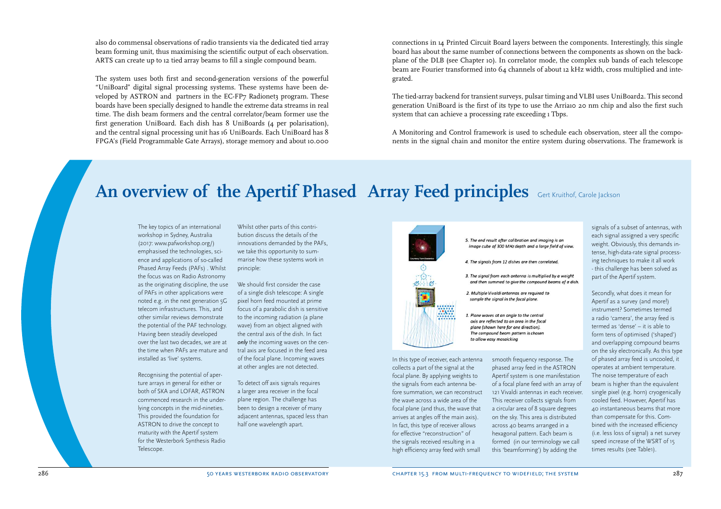also do commensal observations of radio transients via the dedicated tied array beam forming unit, thus maximising the scientific output of each observation. ARTS can create up to 12 tied array beams to fill a single compound beam.

The system uses both first and second-generation versions of the powerful "UniBoard" digital signal processing systems. These systems have been developed by ASTRON and partners in the EC-FP7 Radionet3 program. These boards have been specially designed to handle the extreme data streams in real time. The dish beam formers and the central correlator/beam former use the first generation UniBoard. Each dish has 8 UniBoards (4 per polarisation), and the central signal processing unit has 16 UniBoards. Each UniBoard has 8 FPGA's (Field Programmable Gate Arrays), storage memory and about 10.000 connections in 14 Printed Circuit Board layers between the components. Interestingly, this single board has about the same number of connections between the components as shown on the backplane of the DLB (see Chapter 10). In correlator mode, the complex sub bands of each telescope beam are Fourier transformed into 64 channels of about 12 kHz width, cross multiplied and integrated.

The tied-array backend for transient surveys, pulsar timing and VLBI uses UniBoard2. This second generation UniBoard is the first of its type to use the Arria10 20 nm chip and also the first such system that can achieve a processing rate exceeding  $1$  Tbps.

A Monitoring and Control framework is used to schedule each observation, steer all the components in the signal chain and monitor the entire system during observations. The framework is

> 5. The end result after calibration and imaging is an image cube of 300 MHz depth and a large field of view.

4. The signals from 12 dishes are then correlated.

2. Multiple Vivaldi antennas are required to sample the signal in the focal plane.

1. Plane waves at an angle to the central axis are reflected to an area in the focal plane (shown here for one direction). The compound beam pattern is chosen to allow easy mosaicking

3. The signal from each antenna is multiplied by a weight and then summed to give the compound beams of a dish.

# **An overview of the Apertif Phased Array Feed principles** Gert Kruithof, Carole Jackson

The key topics of an international workshop in Sydney, Australia (2017: www.pafworkshop.org/) emphasised the technologies, science and applications of so-called Phased Array Feeds (PAFs) . Whilst the focus was on Radio Astronomy as the originating discipline, the use of PAFs in other applications were noted e.g. in the next generation 5G telecom infrastructures. This, and other similar reviews demonstrate the potential of the PAF technology. Having been steadily developed over the last two decades, we are at the time when PAFs are mature and installed as 'live' systems.

Recognising the potential of aperture arrays in general for either or both of SKA and LOFAR, ASTRON commenced research in the underlying concepts in the mid-nineties. This provided the foundation for ASTRON to drive the concept to maturity with the Apertif system for the Westerbork Synthesis Radio Telescope.

Whilst other parts of this contribution discuss the details of the innovations demanded by the PAFs, we take this opportunity to summarise how these systems work in principle:

We should first consider the case of a single dish telescope: A single pixel horn feed mounted at prime focus of a parabolic dish is sensitive to the incoming radiation (a plane wave) from an object aligned with the central axis of the dish. In fact *only* the incoming waves on the central axis are focused in the feed area of the focal plane. Incoming waves at other angles are not detected.

To detect off axis signals requires a larger area receiver in the focal plane region. The challenge has been to design a receiver of many adjacent antennas, spaced less than half one wavelength apart.



In this type of receiver, each antenna collects a part of the signal at the focal plane. By applying weights to the signals from each antenna before summation, we can reconstruct the wave across a wide area of the focal plane (and thus, the wave that arrives at angles off the main axis). In fact, this type of receiver allows for effective "reconstruction" of the signals received resulting in a high efficiency array feed with small

smooth frequency response. The phased array feed in the ASTRON Apertif system is one manifestation of a focal plane feed with an array of 121 Vivaldi antennas in each receiver. This receiver collects signals from a circular area of 8 square degrees on the sky. This area is distributed across 40 beams arranged in a hexagonal pattern. Each beam is formed (in our terminology we call this 'beamforming') by adding the

signals of a subset of antennas, with each signal assigned a very specific weight. Obviously, this demands intense, high-data-rate signal processing techniques to make it all work - this challenge has been solved as part of the Apertif system.

Secondly, what does it mean for Apertif as a survey (and more!) instrument? Sometimes termed a radio 'camera', the array feed is termed as 'dense' – it is able to form tens of optimised ('shaped') and overlapping compound beams on the sky electronically. As this type of phased array feed is uncooled, it operates at ambient temperature. The noise temperature of each beam is higher than the equivalent single pixel (e.g. horn) cryogenically cooled feed. However, Apertif has 40 instantaneous beams that more than compensate for this. Combined with the increased efficiency (i.e. less loss of signal) a net survey speed increase of the WSRT of 15 times results (see Table1).